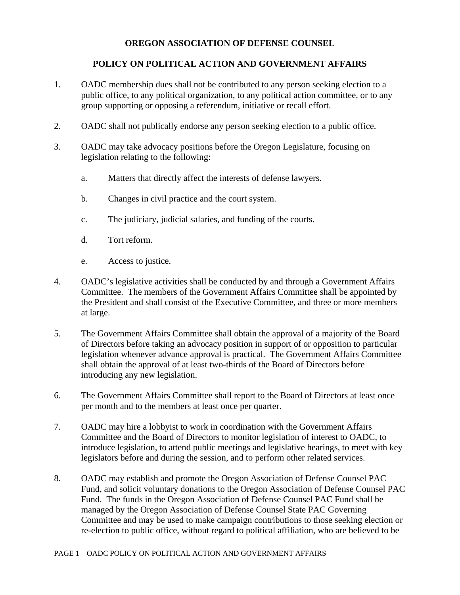## **OREGON ASSOCIATION OF DEFENSE COUNSEL**

## **POLICY ON POLITICAL ACTION AND GOVERNMENT AFFAIRS**

- 1. OADC membership dues shall not be contributed to any person seeking election to a public office, to any political organization, to any political action committee, or to any group supporting or opposing a referendum, initiative or recall effort.
- 2. OADC shall not publically endorse any person seeking election to a public office.
- 3. OADC may take advocacy positions before the Oregon Legislature, focusing on legislation relating to the following:
	- a. Matters that directly affect the interests of defense lawyers.
	- b. Changes in civil practice and the court system.
	- c. The judiciary, judicial salaries, and funding of the courts.
	- d. Tort reform.
	- e. Access to justice.
- 4. OADC's legislative activities shall be conducted by and through a Government Affairs Committee. The members of the Government Affairs Committee shall be appointed by the President and shall consist of the Executive Committee, and three or more members at large.
- 5. The Government Affairs Committee shall obtain the approval of a majority of the Board of Directors before taking an advocacy position in support of or opposition to particular legislation whenever advance approval is practical. The Government Affairs Committee shall obtain the approval of at least two-thirds of the Board of Directors before introducing any new legislation.
- 6. The Government Affairs Committee shall report to the Board of Directors at least once per month and to the members at least once per quarter.
- 7. OADC may hire a lobbyist to work in coordination with the Government Affairs Committee and the Board of Directors to monitor legislation of interest to OADC, to introduce legislation, to attend public meetings and legislative hearings, to meet with key legislators before and during the session, and to perform other related services.
- 8. OADC may establish and promote the Oregon Association of Defense Counsel PAC Fund, and solicit voluntary donations to the Oregon Association of Defense Counsel PAC Fund. The funds in the Oregon Association of Defense Counsel PAC Fund shall be managed by the Oregon Association of Defense Counsel State PAC Governing Committee and may be used to make campaign contributions to those seeking election or re-election to public office, without regard to political affiliation, who are believed to be